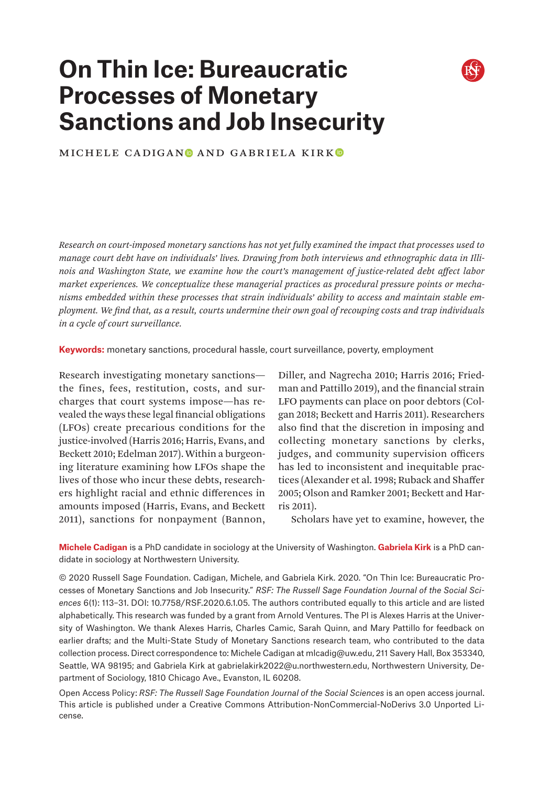# **On Thin Ice: Bureaucratic Processes of Monetary Sanctions and Job Insecurity**



MICHELE CADIGANO AND GABRIELA KIRKO

*Research on court-imposed monetary sanctions has not yet fully examined the impact that processes used to manage court debt have on individuals' lives. Drawing from both interviews and ethnographic data in Illinois and Washington State, we examine how the court's management of justice-related debt affect labor market experiences. We conceptualize these managerial practices as procedural pressure points or mechanisms embedded within these processes that strain individuals' ability to access and maintain stable employment. We find that, as a result, courts undermine their own goal of recouping costs and trap individuals in a cycle of court surveillance.*

**Keywords:** monetary sanctions, procedural hassle, court surveillance, poverty, employment

Research investigating monetary sanctions the fines, fees, restitution, costs, and surcharges that court systems impose—has revealed the ways these legal financial obligations (LFOs) create precarious conditions for the justice-involved (Harris 2016; Harris, Evans, and Beckett 2010; Edelman 2017). Within a burgeoning literature examining how LFOs shape the lives of those who incur these debts, researchers highlight racial and ethnic differences in amounts imposed (Harris, Evans, and Beckett 2011), sanctions for nonpayment (Bannon,

Diller, and Nagrecha 2010; Harris 2016; Friedman and Pattillo 2019), and the financial strain LFO payments can place on poor debtors (Colgan 2018; Beckett and Harris 2011). Researchers also find that the discretion in imposing and collecting monetary sanctions by clerks, judges, and community supervision officers has led to inconsistent and inequitable practices (Alexander et al. 1998; Ruback and Shaffer 2005; Olson and Ramker 2001; Beckett and Harris 2011).

Scholars have yet to examine, however, the

**Michele Cadigan** is a PhD candidate in sociology at the University of Washington. **Gabriela Kirk** is a PhD candidate in sociology at Northwestern University.

© 2020 Russell Sage Foundation. Cadigan, Michele, and Gabriela Kirk. 2020. "On Thin Ice: Bureaucratic Processes of Monetary Sanctions and Job Insecurity." *RSF: The Russell Sage Foundation Journal of the Social Sciences* 6(1): 113–31. DOI: 10.7758/RSF.2020.6.1.05. The authors contributed equally to this article and are listed alphabetically. This research was funded by a grant from Arnold Ventures. The PI is Alexes Harris at the University of Washington. We thank Alexes Harris, Charles Camic, Sarah Quinn, and Mary Pattillo for feedback on earlier drafts; and the Multi-State Study of Monetary Sanctions research team, who contributed to the data collection process. Direct correspondence to: Michele Cadigan at [mlcadig@uw.edu](mailto:mlcadig%40uw.edu?subject=), 211 Savery Hall, Box 353340, Seattle, WA 98195; and Gabriela Kirk at [gabrielakirk2022@u.northwestern.edu,](mailto:gabrielakirk2022%40u.northwestern.edu?subject=) Northwestern University, Department of Sociology, 1810 Chicago Ave., Evanston, IL 60208.

Open Access Policy: *RSF: The Russell Sage Foundation Journal of the Social Sciences* is an open access journal. This article is published under a Creative Commons Attribution-NonCommercial-NoDerivs 3.0 Unported License.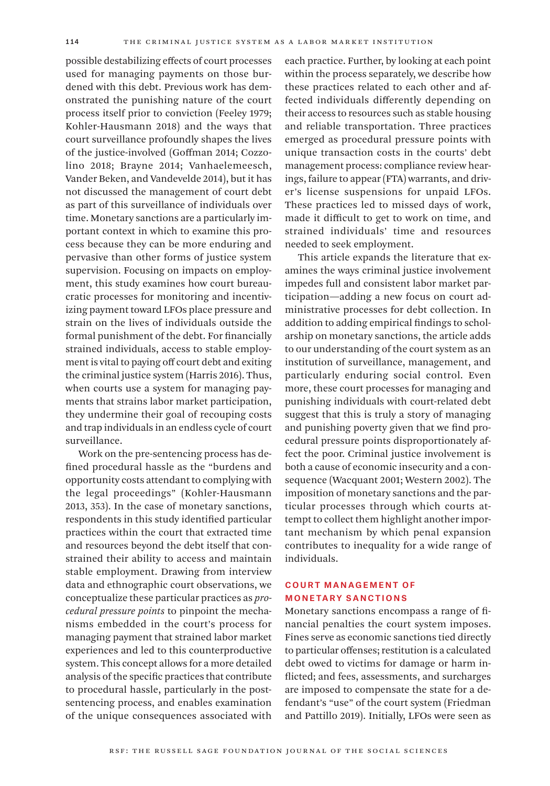possible destabilizing effects of court processes used for managing payments on those burdened with this debt. Previous work has demonstrated the punishing nature of the court process itself prior to conviction (Feeley 1979; Kohler-Hausmann 2018) and the ways that court surveillance profoundly shapes the lives of the justice-involved (Goffman 2014; Cozzolino 2018; Brayne 2014; Vanhaelemeesch, Vander Beken, and Vandevelde 2014), but it has not discussed the management of court debt as part of this surveillance of individuals over time. Monetary sanctions are a particularly important context in which to examine this process because they can be more enduring and pervasive than other forms of justice system supervision. Focusing on impacts on employment, this study examines how court bureaucratic processes for monitoring and incentivizing payment toward LFOs place pressure and strain on the lives of individuals outside the formal punishment of the debt. For financially strained individuals, access to stable employment is vital to paying off court debt and exiting the criminal justice system (Harris 2016). Thus, when courts use a system for managing payments that strains labor market participation, they undermine their goal of recouping costs and trap individuals in an endless cycle of court surveillance.

Work on the pre-sentencing process has defined procedural hassle as the "burdens and opportunity costs attendant to complying with the legal proceedings" (Kohler-Hausmann 2013, 353). In the case of monetary sanctions, respondents in this study identified particular practices within the court that extracted time and resources beyond the debt itself that constrained their ability to access and maintain stable employment. Drawing from interview data and ethnographic court observations, we conceptualize these particular practices as *procedural pressure points* to pinpoint the mechanisms embedded in the court's process for managing payment that strained labor market experiences and led to this counterproductive system. This concept allows for a more detailed analysis of the specific practices that contribute to procedural hassle, particularly in the postsentencing process, and enables examination of the unique consequences associated with

each practice. Further, by looking at each point within the process separately, we describe how these practices related to each other and affected individuals differently depending on their access to resources such as stable housing and reliable transportation. Three practices emerged as procedural pressure points with unique transaction costs in the courts' debt management process: compliance review hearings, failure to appear (FTA) warrants, and driver's license suspensions for unpaid LFOs. These practices led to missed days of work, made it difficult to get to work on time, and strained individuals' time and resources needed to seek employment.

This article expands the literature that examines the ways criminal justice involvement impedes full and consistent labor market participation—adding a new focus on court administrative processes for debt collection. In addition to adding empirical findings to scholarship on monetary sanctions, the article adds to our understanding of the court system as an institution of surveillance, management, and particularly enduring social control. Even more, these court processes for managing and punishing individuals with court-related debt suggest that this is truly a story of managing and punishing poverty given that we find procedural pressure points disproportionately affect the poor. Criminal justice involvement is both a cause of economic insecurity and a consequence (Wacquant 2001; Western 2002). The imposition of monetary sanctions and the particular processes through which courts attempt to collect them highlight another important mechanism by which penal expansion contributes to inequality for a wide range of individuals.

# Court Management of Monetary Sanctions

Monetary sanctions encompass a range of financial penalties the court system imposes. Fines serve as economic sanctions tied directly to particular offenses; restitution is a calculated debt owed to victims for damage or harm inflicted; and fees, assessments, and surcharges are imposed to compensate the state for a defendant's "use" of the court system (Friedman and Pattillo 2019). Initially, LFOs were seen as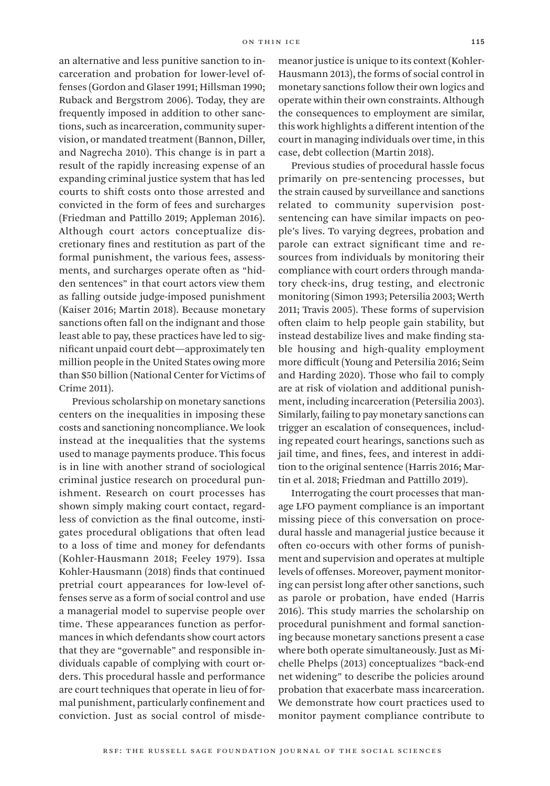an alternative and less punitive sanction to incarceration and probation for lower-level offenses (Gordon and Glaser 1991; Hillsman 1990; Ruback and Bergstrom 2006). Today, they are frequently imposed in addition to other sanctions, such as incarceration, community supervision, or mandated treatment (Bannon, Diller, and Nagrecha 2010). This change is in part a result of the rapidly increasing expense of an expanding criminal justice system that has led courts to shift costs onto those arrested and convicted in the form of fees and surcharges (Friedman and Pattillo 2019; Appleman 2016). Although court actors conceptualize discretionary fines and restitution as part of the formal punishment, the various fees, assessments, and surcharges operate often as "hidden sentences" in that court actors view them as falling outside judge-imposed punishment (Kaiser 2016; Martin 2018). Because monetary sanctions often fall on the indignant and those least able to pay, these practices have led to significant unpaid court debt—approximately ten million people in the United States owing more than \$50 billion (National Center for Victims of Crime 2011).

Previous scholarship on monetary sanctions centers on the inequalities in imposing these costs and sanctioning noncompliance. We look instead at the inequalities that the systems used to manage payments produce. This focus is in line with another strand of sociological criminal justice research on procedural punishment. Research on court processes has shown simply making court contact, regardless of conviction as the final outcome, instigates procedural obligations that often lead to a loss of time and money for defendants (Kohler-Hausmann 2018; Feeley 1979). Issa Kohler-Hausmann (2018) finds that continued pretrial court appearances for low-level offenses serve as a form of social control and use a managerial model to supervise people over time. These appearances function as performances in which defendants show court actors that they are "governable" and responsible individuals capable of complying with court orders. This procedural hassle and performance are court techniques that operate in lieu of formal punishment, particularly confinement and conviction. Just as social control of misdemeanor justice is unique to its context (Kohler-Hausmann 2013), the forms of social control in monetary sanctions follow their own logics and operate within their own constraints. Although the consequences to employment are similar, this work highlights a different intention of the court in managing individuals over time, in this case, debt collection (Martin 2018).

Previous studies of procedural hassle focus primarily on pre-sentencing processes, but the strain caused by surveillance and sanctions related to community supervision postsentencing can have similar impacts on people's lives. To varying degrees, probation and parole can extract significant time and resources from individuals by monitoring their compliance with court orders through mandatory check-ins, drug testing, and electronic monitoring (Simon 1993; Petersilia 2003; Werth 2011; Travis 2005). These forms of supervision often claim to help people gain stability, but instead destabilize lives and make finding stable housing and high-quality employment more difficult (Young and Petersilia 2016; Seim and Harding 2020). Those who fail to comply are at risk of violation and additional punishment, including incarceration (Petersilia 2003). Similarly, failing to pay monetary sanctions can trigger an escalation of consequences, including repeated court hearings, sanctions such as jail time, and fines, fees, and interest in addition to the original sentence (Harris 2016; Martin et al. 2018; Friedman and Pattillo 2019).

Interrogating the court processes that manage LFO payment compliance is an important missing piece of this conversation on procedural hassle and managerial justice because it often co-occurs with other forms of punishment and supervision and operates at multiple levels of offenses. Moreover, payment monitoring can persist long after other sanctions, such as parole or probation, have ended (Harris 2016). This study marries the scholarship on procedural punishment and formal sanctioning because monetary sanctions present a case where both operate simultaneously. Just as Michelle Phelps (2013) conceptualizes "back-end net widening" to describe the policies around probation that exacerbate mass incarceration. We demonstrate how court practices used to monitor payment compliance contribute to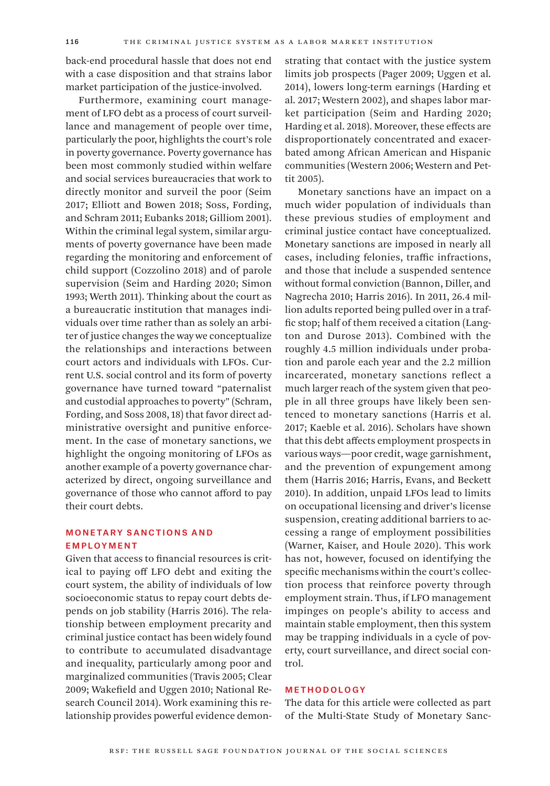back-end procedural hassle that does not end with a case disposition and that strains labor market participation of the justice-involved.

Furthermore, examining court management of LFO debt as a process of court surveillance and management of people over time, particularly the poor, highlights the court's role in poverty governance. Poverty governance has been most commonly studied within welfare and social services bureaucracies that work to directly monitor and surveil the poor (Seim 2017; Elliott and Bowen 2018; Soss, Fording, and Schram 2011; Eubanks 2018; Gilliom 2001). Within the criminal legal system, similar arguments of poverty governance have been made regarding the monitoring and enforcement of child support (Cozzolino 2018) and of parole supervision (Seim and Harding 2020; Simon 1993; Werth 2011). Thinking about the court as a bureaucratic institution that manages individuals over time rather than as solely an arbiter of justice changes the way we conceptualize the relationships and interactions between court actors and individuals with LFOs. Current U.S. social control and its form of poverty governance have turned toward "paternalist and custodial approaches to poverty" (Schram, Fording, and Soss 2008, 18) that favor direct administrative oversight and punitive enforcement. In the case of monetary sanctions, we highlight the ongoing monitoring of LFOs as another example of a poverty governance characterized by direct, ongoing surveillance and governance of those who cannot afford to pay their court debts.

## Monetary Sanctions and Employment

Given that access to financial resources is critical to paying off LFO debt and exiting the court system, the ability of individuals of low socioeconomic status to repay court debts depends on job stability (Harris 2016). The relationship between employment precarity and criminal justice contact has been widely found to contribute to accumulated disadvantage and inequality, particularly among poor and marginalized communities (Travis 2005; Clear 2009; Wakefield and Uggen 2010; National Research Council 2014). Work examining this relationship provides powerful evidence demonstrating that contact with the justice system limits job prospects (Pager 2009; Uggen et al. 2014), lowers long-term earnings (Harding et al. 2017; Western 2002), and shapes labor market participation (Seim and Harding 2020; Harding et al. 2018). Moreover, these effects are disproportionately concentrated and exacerbated among African American and Hispanic communities (Western 2006; Western and Pettit 2005).

Monetary sanctions have an impact on a much wider population of individuals than these previous studies of employment and criminal justice contact have conceptualized. Monetary sanctions are imposed in nearly all cases, including felonies, traffic infractions, and those that include a suspended sentence without formal conviction (Bannon, Diller, and Nagrecha 2010; Harris 2016). In 2011, 26.4 million adults reported being pulled over in a traffic stop; half of them received a citation (Langton and Durose 2013). Combined with the roughly 4.5 million individuals under probation and parole each year and the 2.2 million incarcerated, monetary sanctions reflect a much larger reach of the system given that people in all three groups have likely been sentenced to monetary sanctions (Harris et al. 2017; Kaeble et al. 2016). Scholars have shown that this debt affects employment prospects in various ways—poor credit, wage garnishment, and the prevention of expungement among them (Harris 2016; Harris, Evans, and Beckett 2010). In addition, unpaid LFOs lead to limits on occupational licensing and driver's license suspension, creating additional barriers to accessing a range of employment possibilities (Warner, Kaiser, and Houle 2020). This work has not, however, focused on identifying the specific mechanisms within the court's collection process that reinforce poverty through employment strain. Thus, if LFO management impinges on people's ability to access and maintain stable employment, then this system may be trapping individuals in a cycle of poverty, court surveillance, and direct social control.

#### Methodology

The data for this article were collected as part of the Multi-State Study of Monetary Sanc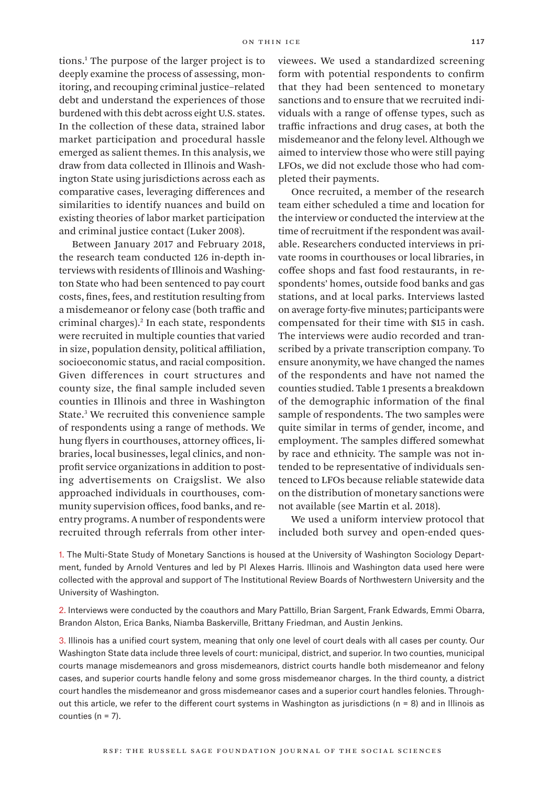tions.1 The purpose of the larger project is to deeply examine the process of assessing, monitoring, and recouping criminal justice–related debt and understand the experiences of those burdened with this debt across eight U.S. states. In the collection of these data, strained labor market participation and procedural hassle emerged as salient themes. In this analysis, we draw from data collected in Illinois and Washington State using jurisdictions across each as comparative cases, leveraging differences and similarities to identify nuances and build on existing theories of labor market participation and criminal justice contact (Luker 2008).

Between January 2017 and February 2018, the research team conducted 126 in-depth interviews with residents of Illinois and Washington State who had been sentenced to pay court costs, fines, fees, and restitution resulting from a misdemeanor or felony case (both traffic and criminal charges).2 In each state, respondents were recruited in multiple counties that varied in size, population density, political affiliation, socioeconomic status, and racial composition. Given differences in court structures and county size, the final sample included seven counties in Illinois and three in Washington State.3 We recruited this convenience sample of respondents using a range of methods. We hung flyers in courthouses, attorney offices, libraries, local businesses, legal clinics, and nonprofit service organizations in addition to posting advertisements on Craigslist. We also approached individuals in courthouses, community supervision offices, food banks, and reentry programs. A number of respondents were recruited through referrals from other interviewees. We used a standardized screening form with potential respondents to confirm that they had been sentenced to monetary sanctions and to ensure that we recruited individuals with a range of offense types, such as traffic infractions and drug cases, at both the misdemeanor and the felony level. Although we aimed to interview those who were still paying LFOs, we did not exclude those who had completed their payments.

Once recruited, a member of the research team either scheduled a time and location for the interview or conducted the interview at the time of recruitment if the respondent was available. Researchers conducted interviews in private rooms in courthouses or local libraries, in coffee shops and fast food restaurants, in respondents' homes, outside food banks and gas stations, and at local parks. Interviews lasted on average forty-five minutes; participants were compensated for their time with \$15 in cash. The interviews were audio recorded and transcribed by a private transcription company. To ensure anonymity, we have changed the names of the respondents and have not named the counties studied. Table 1 presents a breakdown of the demographic information of the final sample of respondents. The two samples were quite similar in terms of gender, income, and employment. The samples differed somewhat by race and ethnicity. The sample was not intended to be representative of individuals sentenced to LFOs because reliable statewide data on the distribution of monetary sanctions were not available (see Martin et al. 2018).

We used a uniform interview protocol that included both survey and open-ended ques-

1. The Multi-State Study of Monetary Sanctions is housed at the University of Washington Sociology Department, funded by Arnold Ventures and led by PI Alexes Harris. Illinois and Washington data used here were collected with the approval and support of The Institutional Review Boards of Northwestern University and the University of Washington.

2. Interviews were conducted by the coauthors and Mary Pattillo, Brian Sargent, Frank Edwards, Emmi Obarra, Brandon Alston, Erica Banks, Niamba Baskerville, Brittany Friedman, and Austin Jenkins.

3. Illinois has a unified court system, meaning that only one level of court deals with all cases per county. Our Washington State data include three levels of court: municipal, district, and superior. In two counties, municipal courts manage misdemeanors and gross misdemeanors, district courts handle both misdemeanor and felony cases, and superior courts handle felony and some gross misdemeanor charges. In the third county, a district court handles the misdemeanor and gross misdemeanor cases and a superior court handles felonies. Throughout this article, we refer to the different court systems in Washington as jurisdictions (n = 8) and in Illinois as counties  $(n = 7)$ .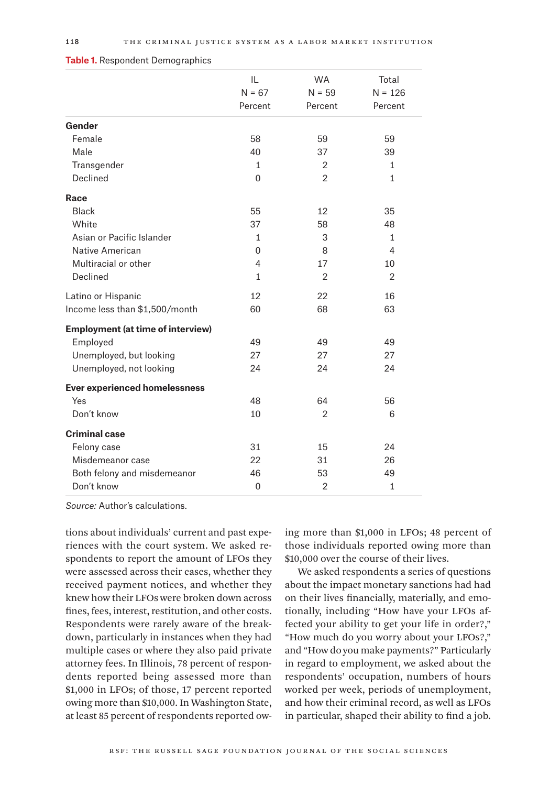|                                          | IL<br>$N = 67$<br>Percent | <b>WA</b><br>$N = 59$<br>Percent | Total<br>$N = 126$<br>Percent |
|------------------------------------------|---------------------------|----------------------------------|-------------------------------|
|                                          |                           |                                  |                               |
|                                          |                           |                                  |                               |
| Gender                                   |                           |                                  |                               |
| Female                                   | 58                        | 59                               | 59                            |
| Male                                     | 40                        | 37                               | 39                            |
| Transgender                              | 1                         | $\overline{2}$                   | 1                             |
| Declined                                 | $\Omega$                  | $\overline{2}$                   | $\mathbf{1}$                  |
| Race                                     |                           |                                  |                               |
| <b>Black</b>                             | 55                        | 12                               | 35                            |
| White                                    | 37                        | 58                               | 48                            |
| Asian or Pacific Islander                | $\mathbf{1}$              | 3                                | $\mathbf{1}$                  |
| <b>Native American</b>                   | $\mathbf 0$               | 8                                | $\overline{4}$                |
| Multiracial or other                     | $\overline{4}$            | 17                               | 10                            |
| Declined                                 | $\mathbf{1}$              | $\overline{2}$                   | $\overline{2}$                |
| Latino or Hispanic                       | 12                        | 22                               | 16                            |
| Income less than \$1,500/month           | 60                        | 68                               | 63                            |
| <b>Employment (at time of interview)</b> |                           |                                  |                               |
| Employed                                 | 49                        | 49                               | 49                            |
| Unemployed, but looking                  | 27                        | 27                               | 27                            |
| Unemployed, not looking                  | 24                        | 24                               | 24                            |
| <b>Ever experienced homelessness</b>     |                           |                                  |                               |
| Yes                                      | 48                        | 64                               | 56                            |
| Don't know                               | 10                        | $\overline{2}$                   | 6                             |
| <b>Criminal case</b>                     |                           |                                  |                               |
| Felony case                              | 31                        | 15                               | 24                            |
| Misdemeanor case                         | 22                        | 31                               | 26                            |
| Both felony and misdemeanor              | 46                        | 53                               | 49                            |
| Don't know                               | $\mathbf 0$               | $\overline{2}$                   | $\mathbf{1}$                  |

#### **Table 1.** Respondent Demographics

*Source:* Author's calculations.

tions about individuals' current and past experiences with the court system. We asked respondents to report the amount of LFOs they were assessed across their cases, whether they received payment notices, and whether they knew how their LFOs were broken down across fines, fees, interest, restitution, and other costs. Respondents were rarely aware of the breakdown, particularly in instances when they had multiple cases or where they also paid private attorney fees. In Illinois, 78 percent of respondents reported being assessed more than \$1,000 in LFOs; of those, 17 percent reported owing more than \$10,000. In Washington State, at least 85 percent of respondents reported ow-

ing more than \$1,000 in LFOs; 48 percent of those individuals reported owing more than \$10,000 over the course of their lives.

We asked respondents a series of questions about the impact monetary sanctions had had on their lives financially, materially, and emotionally, including "How have your LFOs affected your ability to get your life in order?," "How much do you worry about your LFOs?," and "How do you make payments?" Particularly in regard to employment, we asked about the respondents' occupation, numbers of hours worked per week, periods of unemployment, and how their criminal record, as well as LFOs in particular, shaped their ability to find a job.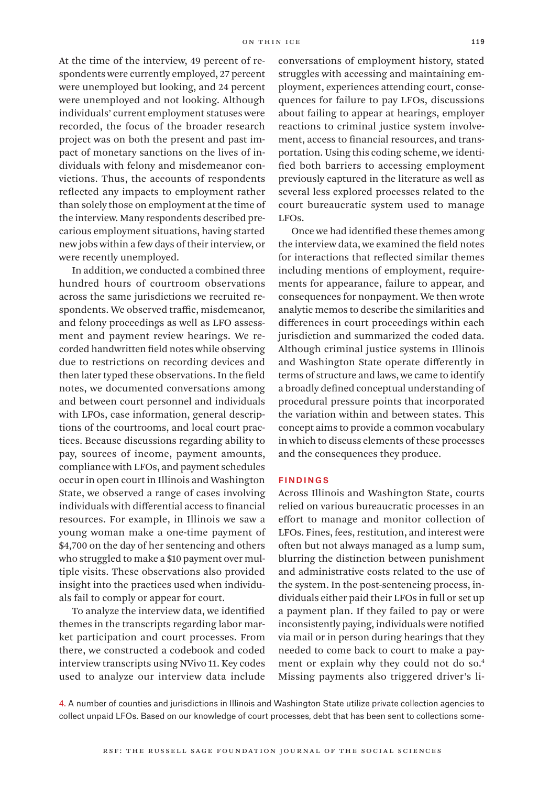At the time of the interview, 49 percent of respondents were currently employed, 27 percent were unemployed but looking, and 24 percent were unemployed and not looking. Although individuals' current employment statuses were recorded, the focus of the broader research project was on both the present and past impact of monetary sanctions on the lives of individuals with felony and misdemeanor convictions. Thus, the accounts of respondents reflected any impacts to employment rather than solely those on employment at the time of the interview. Many respondents described precarious employment situations, having started new jobs within a few days of their interview, or were recently unemployed.

In addition, we conducted a combined three hundred hours of courtroom observations across the same jurisdictions we recruited respondents. We observed traffic, misdemeanor, and felony proceedings as well as LFO assessment and payment review hearings. We recorded handwritten field notes while observing due to restrictions on recording devices and then later typed these observations. In the field notes, we documented conversations among and between court personnel and individuals with LFOs, case information, general descriptions of the courtrooms, and local court practices. Because discussions regarding ability to pay, sources of income, payment amounts, compliance with LFOs, and payment schedules occur in open court in Illinois and Washington State, we observed a range of cases involving individuals with differential access to financial resources. For example, in Illinois we saw a young woman make a one-time payment of \$4,700 on the day of her sentencing and others who struggled to make a \$10 payment over multiple visits. These observations also provided insight into the practices used when individuals fail to comply or appear for court.

To analyze the interview data, we identified themes in the transcripts regarding labor market participation and court processes. From there, we constructed a codebook and coded interview transcripts using NVivo 11. Key codes used to analyze our interview data include

conversations of employment history, stated struggles with accessing and maintaining employment, experiences attending court, consequences for failure to pay LFOs, discussions about failing to appear at hearings, employer reactions to criminal justice system involvement, access to financial resources, and transportation. Using this coding scheme, we identified both barriers to accessing employment previously captured in the literature as well as several less explored processes related to the court bureaucratic system used to manage LFOs.

Once we had identified these themes among the interview data, we examined the field notes for interactions that reflected similar themes including mentions of employment, requirements for appearance, failure to appear, and consequences for nonpayment. We then wrote analytic memos to describe the similarities and differences in court proceedings within each jurisdiction and summarized the coded data. Although criminal justice systems in Illinois and Washington State operate differently in terms of structure and laws, we came to identify a broadly defined conceptual understanding of procedural pressure points that incorporated the variation within and between states. This concept aims to provide a common vocabulary in which to discuss elements of these processes and the consequences they produce.

#### Findings

Across Illinois and Washington State, courts relied on various bureaucratic processes in an effort to manage and monitor collection of LFOs. Fines, fees, restitution, and interest were often but not always managed as a lump sum, blurring the distinction between punishment and administrative costs related to the use of the system. In the post-sentencing process, individuals either paid their LFOs in full or set up a payment plan. If they failed to pay or were inconsistently paying, individuals were notified via mail or in person during hearings that they needed to come back to court to make a payment or explain why they could not do so.4 Missing payments also triggered driver's li-

4. A number of counties and jurisdictions in Illinois and Washington State utilize private collection agencies to collect unpaid LFOs. Based on our knowledge of court processes, debt that has been sent to collections some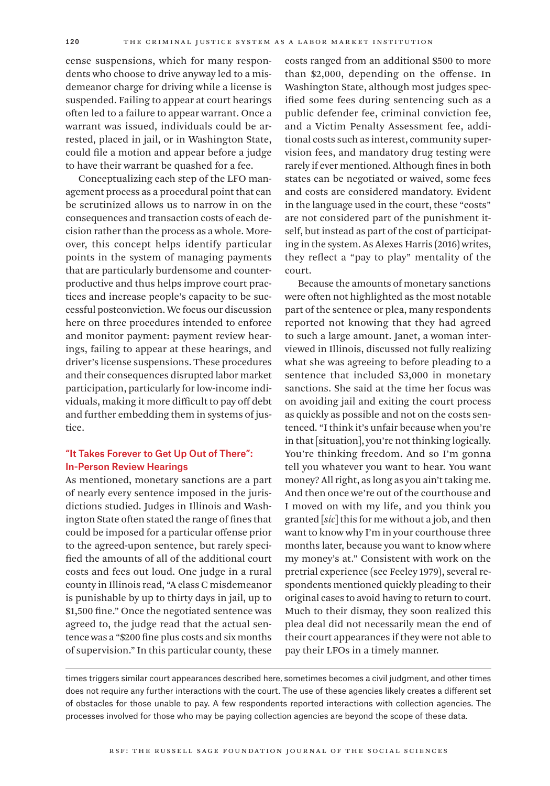cense suspensions, which for many respondents who choose to drive anyway led to a misdemeanor charge for driving while a license is suspended. Failing to appear at court hearings often led to a failure to appear warrant. Once a warrant was issued, individuals could be arrested, placed in jail, or in Washington State, could file a motion and appear before a judge to have their warrant be quashed for a fee.

Conceptualizing each step of the LFO management process as a procedural point that can be scrutinized allows us to narrow in on the consequences and transaction costs of each decision rather than the process as a whole. Moreover, this concept helps identify particular points in the system of managing payments that are particularly burdensome and counterproductive and thus helps improve court practices and increase people's capacity to be successful postconviction. We focus our discussion here on three procedures intended to enforce and monitor payment: payment review hearings, failing to appear at these hearings, and driver's license suspensions. These procedures and their consequences disrupted labor market participation, particularly for low-income individuals, making it more difficult to pay off debt and further embedding them in systems of justice.

# "It Takes Forever to Get Up Out of There": In-Person Review Hearings

As mentioned, monetary sanctions are a part of nearly every sentence imposed in the jurisdictions studied. Judges in Illinois and Washington State often stated the range of fines that could be imposed for a particular offense prior to the agreed-upon sentence, but rarely specified the amounts of all of the additional court costs and fees out loud. One judge in a rural county in Illinois read, "A class C misdemeanor is punishable by up to thirty days in jail, up to \$1,500 fine." Once the negotiated sentence was agreed to, the judge read that the actual sentence was a "\$200 fine plus costs and six months of supervision." In this particular county, these

costs ranged from an additional \$500 to more than \$2,000, depending on the offense. In Washington State, although most judges specified some fees during sentencing such as a public defender fee, criminal conviction fee, and a Victim Penalty Assessment fee, additional costs such as interest, community supervision fees, and mandatory drug testing were rarely if ever mentioned. Although fines in both states can be negotiated or waived, some fees and costs are considered mandatory. Evident in the language used in the court, these "costs" are not considered part of the punishment itself, but instead as part of the cost of participating in the system. As Alexes Harris (2016) writes, they reflect a "pay to play" mentality of the court.

Because the amounts of monetary sanctions were often not highlighted as the most notable part of the sentence or plea, many respondents reported not knowing that they had agreed to such a large amount. Janet, a woman interviewed in Illinois, discussed not fully realizing what she was agreeing to before pleading to a sentence that included \$3,000 in monetary sanctions. She said at the time her focus was on avoiding jail and exiting the court process as quickly as possible and not on the costs sentenced. "I think it's unfair because when you're in that [situation], you're not thinking logically. You're thinking freedom. And so I'm gonna tell you whatever you want to hear. You want money? All right, as long as you ain't taking me. And then once we're out of the courthouse and I moved on with my life, and you think you granted [*sic*] this for me without a job, and then want to know why I'm in your courthouse three months later, because you want to know where my money's at." Consistent with work on the pretrial experience (see Feeley 1979), several respondents mentioned quickly pleading to their original cases to avoid having to return to court. Much to their dismay, they soon realized this plea deal did not necessarily mean the end of their court appearances if they were not able to pay their LFOs in a timely manner.

times triggers similar court appearances described here, sometimes becomes a civil judgment, and other times does not require any further interactions with the court. The use of these agencies likely creates a different set of obstacles for those unable to pay. A few respondents reported interactions with collection agencies. The processes involved for those who may be paying collection agencies are beyond the scope of these data.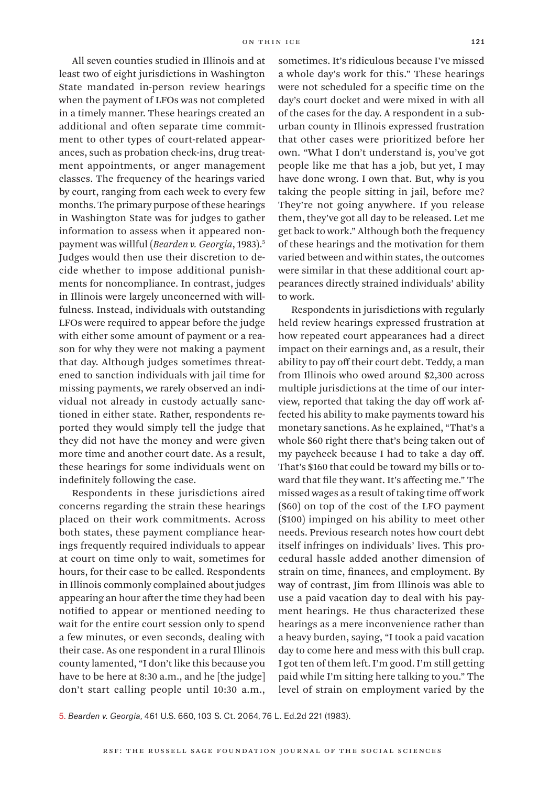All seven counties studied in Illinois and at least two of eight jurisdictions in Washington State mandated in-person review hearings when the payment of LFOs was not completed in a timely manner. These hearings created an additional and often separate time commitment to other types of court-related appearances, such as probation check-ins, drug treatment appointments, or anger management classes. The frequency of the hearings varied by court, ranging from each week to every few months. The primary purpose of these hearings in Washington State was for judges to gather information to assess when it appeared nonpayment was willful (*Bearden v. Georgia*, 1983).5 Judges would then use their discretion to decide whether to impose additional punishments for noncompliance. In contrast, judges in Illinois were largely unconcerned with willfulness. Instead, individuals with outstanding LFOs were required to appear before the judge with either some amount of payment or a reason for why they were not making a payment that day. Although judges sometimes threatened to sanction individuals with jail time for missing payments, we rarely observed an individual not already in custody actually sanctioned in either state. Rather, respondents reported they would simply tell the judge that they did not have the money and were given more time and another court date. As a result, these hearings for some individuals went on indefinitely following the case.

Respondents in these jurisdictions aired concerns regarding the strain these hearings placed on their work commitments. Across both states, these payment compliance hearings frequently required individuals to appear at court on time only to wait, sometimes for hours, for their case to be called. Respondents in Illinois commonly complained about judges appearing an hour after the time they had been notified to appear or mentioned needing to wait for the entire court session only to spend a few minutes, or even seconds, dealing with their case. As one respondent in a rural Illinois county lamented, "I don't like this because you have to be here at 8:30 a.m., and he [the judge] don't start calling people until 10:30 a.m.,

sometimes. It's ridiculous because I've missed a whole day's work for this." These hearings were not scheduled for a specific time on the day's court docket and were mixed in with all of the cases for the day. A respondent in a suburban county in Illinois expressed frustration that other cases were prioritized before her own. "What I don't understand is, you've got people like me that has a job, but yet, I may have done wrong. I own that. But, why is you taking the people sitting in jail, before me? They're not going anywhere. If you release them, they've got all day to be released. Let me get back to work." Although both the frequency of these hearings and the motivation for them varied between and within states, the outcomes were similar in that these additional court appearances directly strained individuals' ability to work.

Respondents in jurisdictions with regularly held review hearings expressed frustration at how repeated court appearances had a direct impact on their earnings and, as a result, their ability to pay off their court debt. Teddy, a man from Illinois who owed around \$2,300 across multiple jurisdictions at the time of our interview, reported that taking the day off work affected his ability to make payments toward his monetary sanctions. As he explained, "That's a whole \$60 right there that's being taken out of my paycheck because I had to take a day off. That's \$160 that could be toward my bills or toward that file they want. It's affecting me." The missed wages as a result of taking time off work (\$60) on top of the cost of the LFO payment (\$100) impinged on his ability to meet other needs. Previous research notes how court debt itself infringes on individuals' lives. This procedural hassle added another dimension of strain on time, finances, and employment. By way of contrast, Jim from Illinois was able to use a paid vacation day to deal with his payment hearings. He thus characterized these hearings as a mere inconvenience rather than a heavy burden, saying, "I took a paid vacation day to come here and mess with this bull crap. I got ten of them left. I'm good. I'm still getting paid while I'm sitting here talking to you." The level of strain on employment varied by the

5. *Bearden v. Georgia*, 461 U.S. 660, 103 S. Ct. 2064, 76 L. Ed.2d 221 (1983).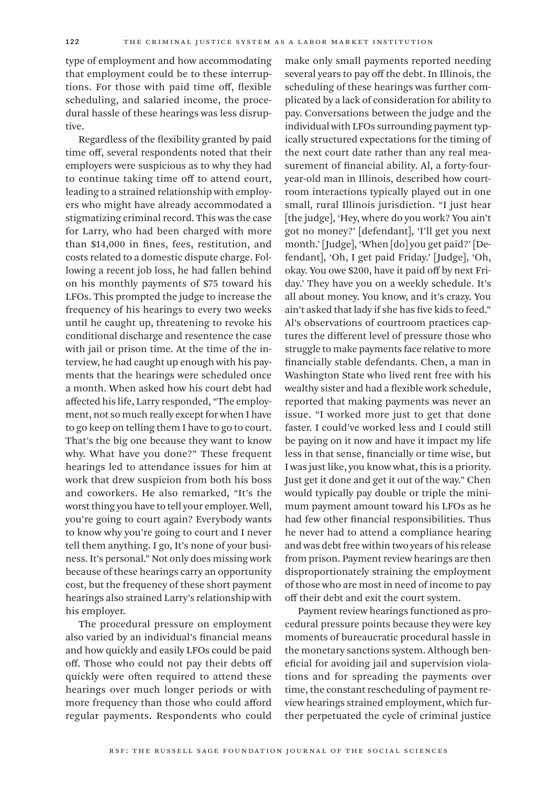type of employment and how accommodating that employment could be to these interruptions. For those with paid time off, flexible scheduling, and salaried income, the procedural hassle of these hearings was less disruptive.

Regardless of the flexibility granted by paid time off, several respondents noted that their employers were suspicious as to why they had to continue taking time off to attend court, leading to a strained relationship with employers who might have already accommodated a stigmatizing criminal record. This was the case for Larry, who had been charged with more than \$14,000 in fines, fees, restitution, and costs related to a domestic dispute charge. Following a recent job loss, he had fallen behind on his monthly payments of \$75 toward his LFOs. This prompted the judge to increase the frequency of his hearings to every two weeks until he caught up, threatening to revoke his conditional discharge and resentence the case with jail or prison time. At the time of the interview, he had caught up enough with his payments that the hearings were scheduled once a month. When asked how his court debt had affected his life, Larry responded, "The employment, not so much really except for when I have to go keep on telling them I have to go to court. That's the big one because they want to know why. What have you done?" These frequent hearings led to attendance issues for him at work that drew suspicion from both his boss and coworkers. He also remarked, "It's the worst thing you have to tell your employer. Well, you're going to court again? Everybody wants to know why you're going to court and I never tell them anything. I go, It's none of your business. It's personal." Not only does missing work because of these hearings carry an opportunity cost, but the frequency of these short payment hearings also strained Larry's relationship with his employer.

The procedural pressure on employment also varied by an individual's financial means and how quickly and easily LFOs could be paid off. Those who could not pay their debts off quickly were often required to attend these hearings over much longer periods or with more frequency than those who could afford regular payments. Respondents who could

make only small payments reported needing several years to pay off the debt. In Illinois, the scheduling of these hearings was further complicated by a lack of consideration for ability to pay. Conversations between the judge and the individual with LFOs surrounding payment typically structured expectations for the timing of the next court date rather than any real measurement of financial ability. Al, a forty-fouryear-old man in Illinois, described how courtroom interactions typically played out in one small, rural Illinois jurisdiction. "I just hear [the judge], 'Hey, where do you work? You ain't got no money?' [defendant], 'I'll get you next month.' [Judge], 'When [do] you get paid?' [Defendant], 'Oh, I get paid Friday.' [Judge], 'Oh, okay. You owe \$200, have it paid off by next Friday.' They have you on a weekly schedule. It's all about money. You know, and it's crazy. You ain't asked that lady if she has five kids to feed." Al's observations of courtroom practices captures the different level of pressure those who struggle to make payments face relative to more financially stable defendants. Chen, a man in Washington State who lived rent free with his wealthy sister and had a flexible work schedule, reported that making payments was never an issue. "I worked more just to get that done faster. I could've worked less and I could still be paying on it now and have it impact my life less in that sense, financially or time wise, but I was just like, you know what, this is a priority. Just get it done and get it out of the way." Chen would typically pay double or triple the minimum payment amount toward his LFOs as he had few other financial responsibilities. Thus he never had to attend a compliance hearing and was debt free within two years of his release from prison. Payment review hearings are then disproportionately straining the employment of those who are most in need of income to pay off their debt and exit the court system.

Payment review hearings functioned as procedural pressure points because they were key moments of bureaucratic procedural hassle in the monetary sanctions system. Although beneficial for avoiding jail and supervision violations and for spreading the payments over time, the constant rescheduling of payment review hearings strained employment, which further perpetuated the cycle of criminal justice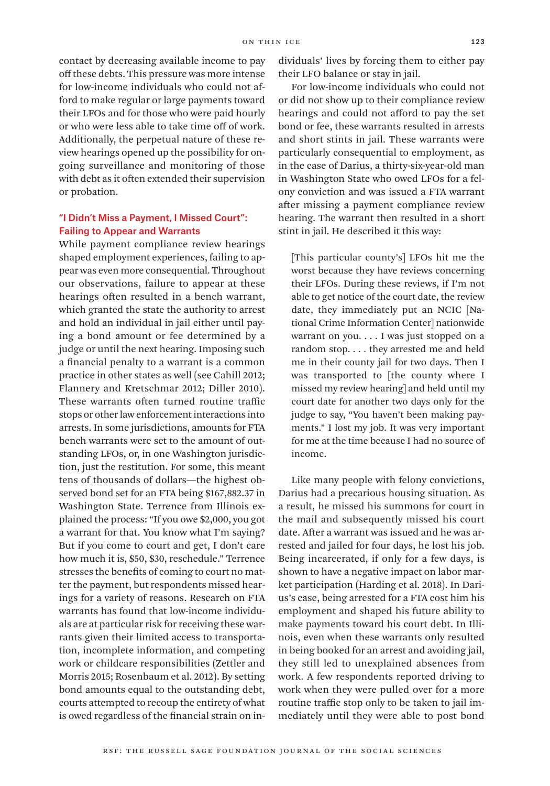contact by decreasing available income to pay off these debts. This pressure was more intense for low-income individuals who could not afford to make regular or large payments toward their LFOs and for those who were paid hourly or who were less able to take time off of work. Additionally, the perpetual nature of these review hearings opened up the possibility for ongoing surveillance and monitoring of those with debt as it often extended their supervision or probation.

## "I Didn't Miss a Payment, I Missed Court": Failing to Appear and Warrants

While payment compliance review hearings shaped employment experiences, failing to appear was even more consequential. Throughout our observations, failure to appear at these hearings often resulted in a bench warrant, which granted the state the authority to arrest and hold an individual in jail either until paying a bond amount or fee determined by a judge or until the next hearing. Imposing such a financial penalty to a warrant is a common practice in other states as well (see Cahill 2012; Flannery and Kretschmar 2012; Diller 2010). These warrants often turned routine traffic stops or other law enforcement interactions into arrests. In some jurisdictions, amounts for FTA bench warrants were set to the amount of outstanding LFOs, or, in one Washington jurisdiction, just the restitution. For some, this meant tens of thousands of dollars—the highest observed bond set for an FTA being \$167,882.37 in Washington State. Terrence from Illinois explained the process: "If you owe \$2,000, you got a warrant for that. You know what I'm saying? But if you come to court and get, I don't care how much it is, \$50, \$30, reschedule." Terrence stresses the benefits of coming to court no matter the payment, but respondents missed hearings for a variety of reasons. Research on FTA warrants has found that low-income individuals are at particular risk for receiving these warrants given their limited access to transportation, incomplete information, and competing work or childcare responsibilities (Zettler and Morris 2015; Rosenbaum et al. 2012). By setting bond amounts equal to the outstanding debt, courts attempted to recoup the entirety of what is owed regardless of the financial strain on individuals' lives by forcing them to either pay their LFO balance or stay in jail.

For low-income individuals who could not or did not show up to their compliance review hearings and could not afford to pay the set bond or fee, these warrants resulted in arrests and short stints in jail. These warrants were particularly consequential to employment, as in the case of Darius, a thirty-six-year-old man in Washington State who owed LFOs for a felony conviction and was issued a FTA warrant after missing a payment compliance review hearing. The warrant then resulted in a short stint in jail. He described it this way:

[This particular county's] LFOs hit me the worst because they have reviews concerning their LFOs. During these reviews, if I'm not able to get notice of the court date, the review date, they immediately put an NCIC [National Crime Information Center] nationwide warrant on you. . . . I was just stopped on a random stop. . . . they arrested me and held me in their county jail for two days. Then I was transported to [the county where I missed my review hearing] and held until my court date for another two days only for the judge to say, "You haven't been making payments." I lost my job. It was very important for me at the time because I had no source of income.

Like many people with felony convictions, Darius had a precarious housing situation. As a result, he missed his summons for court in the mail and subsequently missed his court date. After a warrant was issued and he was arrested and jailed for four days, he lost his job. Being incarcerated, if only for a few days, is shown to have a negative impact on labor market participation (Harding et al. 2018). In Darius's case, being arrested for a FTA cost him his employment and shaped his future ability to make payments toward his court debt. In Illinois, even when these warrants only resulted in being booked for an arrest and avoiding jail, they still led to unexplained absences from work. A few respondents reported driving to work when they were pulled over for a more routine traffic stop only to be taken to jail immediately until they were able to post bond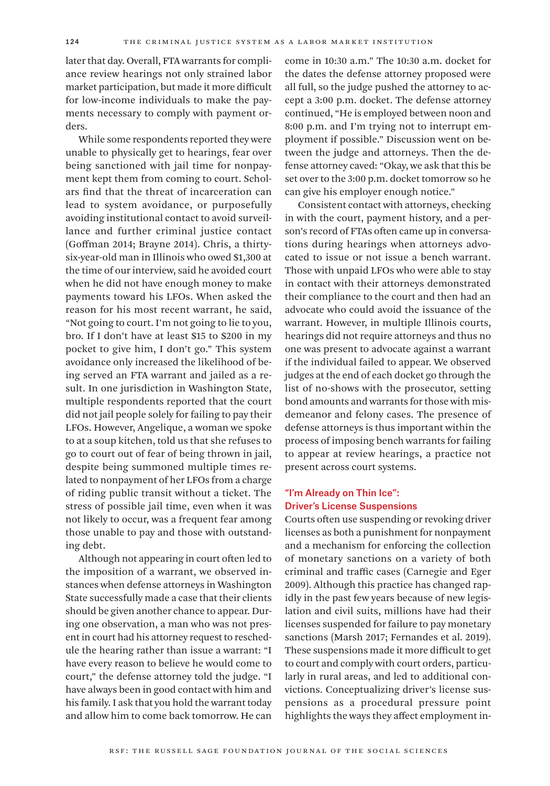later that day. Overall, FTA warrants for compliance review hearings not only strained labor market participation, but made it more difficult for low-income individuals to make the payments necessary to comply with payment orders.

While some respondents reported they were unable to physically get to hearings, fear over being sanctioned with jail time for nonpayment kept them from coming to court. Scholars find that the threat of incarceration can lead to system avoidance, or purposefully avoiding institutional contact to avoid surveillance and further criminal justice contact (Goffman 2014; Brayne 2014). Chris, a thirtysix-year-old man in Illinois who owed \$1,300 at the time of our interview, said he avoided court when he did not have enough money to make payments toward his LFOs. When asked the reason for his most recent warrant, he said, "Not going to court. I'm not going to lie to you, bro. If I don't have at least \$15 to \$200 in my pocket to give him, I don't go." This system avoidance only increased the likelihood of being served an FTA warrant and jailed as a result. In one jurisdiction in Washington State, multiple respondents reported that the court did not jail people solely for failing to pay their LFOs. However, Angelique, a woman we spoke to at a soup kitchen, told us that she refuses to go to court out of fear of being thrown in jail, despite being summoned multiple times related to nonpayment of her LFOs from a charge of riding public transit without a ticket. The stress of possible jail time, even when it was not likely to occur, was a frequent fear among those unable to pay and those with outstanding debt.

Although not appearing in court often led to the imposition of a warrant, we observed instances when defense attorneys in Washington State successfully made a case that their clients should be given another chance to appear. During one observation, a man who was not present in court had his attorney request to reschedule the hearing rather than issue a warrant: "I have every reason to believe he would come to court," the defense attorney told the judge. "I have always been in good contact with him and his family. I ask that you hold the warrant today and allow him to come back tomorrow. He can

come in 10:30 a.m." The 10:30 a.m. docket for the dates the defense attorney proposed were all full, so the judge pushed the attorney to accept a 3:00 p.m. docket. The defense attorney continued, "He is employed between noon and 8:00 p.m. and I'm trying not to interrupt employment if possible." Discussion went on between the judge and attorneys. Then the defense attorney caved: "Okay, we ask that this be set over to the 3:00 p.m. docket tomorrow so he can give his employer enough notice."

Consistent contact with attorneys, checking in with the court, payment history, and a person's record of FTAs often came up in conversations during hearings when attorneys advocated to issue or not issue a bench warrant. Those with unpaid LFOs who were able to stay in contact with their attorneys demonstrated their compliance to the court and then had an advocate who could avoid the issuance of the warrant. However, in multiple Illinois courts, hearings did not require attorneys and thus no one was present to advocate against a warrant if the individual failed to appear. We observed judges at the end of each docket go through the list of no-shows with the prosecutor, setting bond amounts and warrants for those with misdemeanor and felony cases. The presence of defense attorneys is thus important within the process of imposing bench warrants for failing to appear at review hearings, a practice not present across court systems.

# "I'm Already on Thin Ice": Driver's License Suspensions

Courts often use suspending or revoking driver licenses as both a punishment for nonpayment and a mechanism for enforcing the collection of monetary sanctions on a variety of both criminal and traffic cases (Carnegie and Eger 2009). Although this practice has changed rapidly in the past few years because of new legislation and civil suits, millions have had their licenses suspended for failure to pay monetary sanctions (Marsh 2017; Fernandes et al. 2019). These suspensions made it more difficult to get to court and comply with court orders, particularly in rural areas, and led to additional convictions. Conceptualizing driver's license suspensions as a procedural pressure point highlights the ways they affect employment in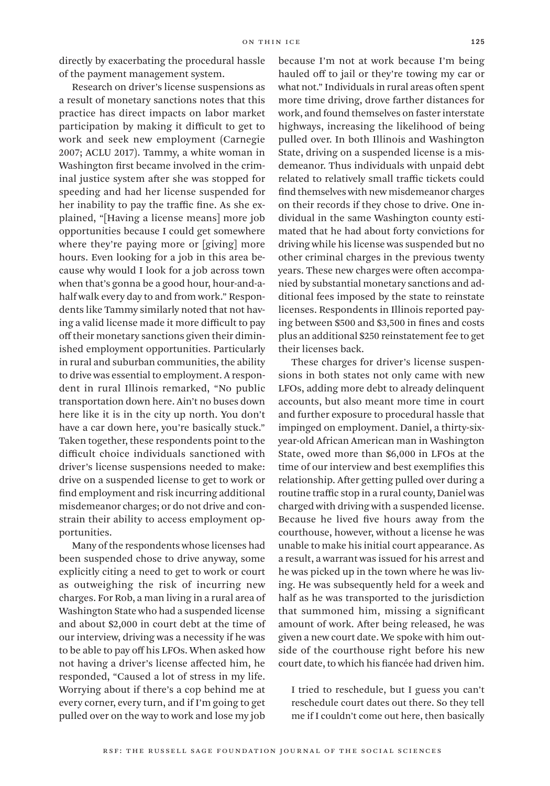directly by exacerbating the procedural hassle of the payment management system.

Research on driver's license suspensions as a result of monetary sanctions notes that this practice has direct impacts on labor market participation by making it difficult to get to work and seek new employment (Carnegie 2007; ACLU 2017). Tammy, a white woman in Washington first became involved in the criminal justice system after she was stopped for speeding and had her license suspended for her inability to pay the traffic fine. As she explained, "[Having a license means] more job opportunities because I could get somewhere where they're paying more or [giving] more hours. Even looking for a job in this area because why would I look for a job across town when that's gonna be a good hour, hour-and-ahalf walk every day to and from work." Respondents like Tammy similarly noted that not having a valid license made it more difficult to pay off their monetary sanctions given their diminished employment opportunities. Particularly in rural and suburban communities, the ability to drive was essential to employment. A respondent in rural Illinois remarked, "No public transportation down here. Ain't no buses down here like it is in the city up north. You don't have a car down here, you're basically stuck." Taken together, these respondents point to the difficult choice individuals sanctioned with driver's license suspensions needed to make: drive on a suspended license to get to work or find employment and risk incurring additional misdemeanor charges; or do not drive and constrain their ability to access employment opportunities.

Many of the respondents whose licenses had been suspended chose to drive anyway, some explicitly citing a need to get to work or court as outweighing the risk of incurring new charges. For Rob, a man living in a rural area of Washington State who had a suspended license and about \$2,000 in court debt at the time of our interview, driving was a necessity if he was to be able to pay off his LFOs. When asked how not having a driver's license affected him, he responded, "Caused a lot of stress in my life. Worrying about if there's a cop behind me at every corner, every turn, and if I'm going to get pulled over on the way to work and lose my job

because I'm not at work because I'm being hauled off to jail or they're towing my car or what not." Individuals in rural areas often spent more time driving, drove farther distances for work, and found themselves on faster interstate highways, increasing the likelihood of being pulled over. In both Illinois and Washington State, driving on a suspended license is a misdemeanor. Thus individuals with unpaid debt related to relatively small traffic tickets could find themselves with new misdemeanor charges on their records if they chose to drive. One individual in the same Washington county estimated that he had about forty convictions for driving while his license was suspended but no other criminal charges in the previous twenty years. These new charges were often accompanied by substantial monetary sanctions and additional fees imposed by the state to reinstate licenses. Respondents in Illinois reported paying between \$500 and \$3,500 in fines and costs plus an additional \$250 reinstatement fee to get their licenses back.

These charges for driver's license suspensions in both states not only came with new LFOs, adding more debt to already delinquent accounts, but also meant more time in court and further exposure to procedural hassle that impinged on employment. Daniel, a thirty-sixyear-old African American man in Washington State, owed more than \$6,000 in LFOs at the time of our interview and best exemplifies this relationship. After getting pulled over during a routine traffic stop in a rural county, Daniel was charged with driving with a suspended license. Because he lived five hours away from the courthouse, however, without a license he was unable to make his initial court appearance. As a result, a warrant was issued for his arrest and he was picked up in the town where he was living. He was subsequently held for a week and half as he was transported to the jurisdiction that summoned him, missing a significant amount of work. After being released, he was given a new court date. We spoke with him outside of the courthouse right before his new court date, to which his fiancée had driven him.

I tried to reschedule, but I guess you can't reschedule court dates out there. So they tell me if I couldn't come out here, then basically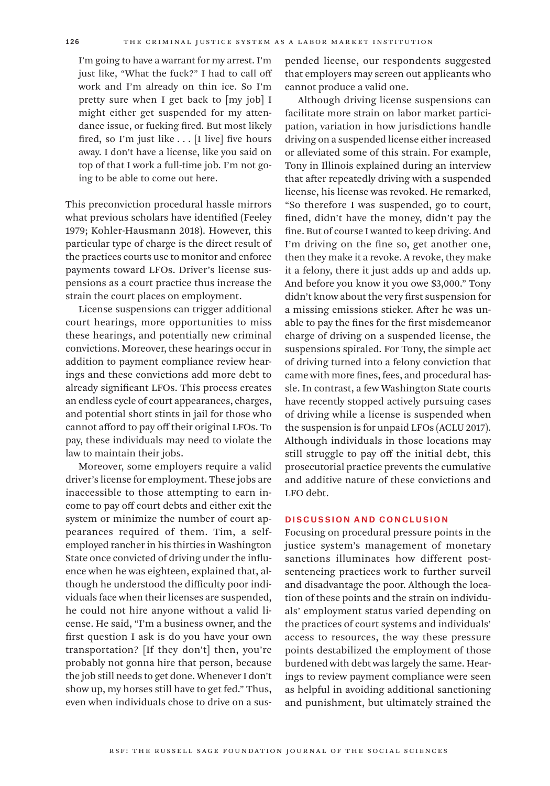I'm going to have a warrant for my arrest. I'm just like, "What the fuck?" I had to call off work and I'm already on thin ice. So I'm pretty sure when I get back to [my job] I might either get suspended for my attendance issue, or fucking fired. But most likely fired, so I'm just like . . . [I live] five hours away. I don't have a license, like you said on top of that I work a full-time job. I'm not going to be able to come out here.

This preconviction procedural hassle mirrors what previous scholars have identified (Feeley 1979; Kohler-Hausmann 2018). However, this particular type of charge is the direct result of the practices courts use to monitor and enforce payments toward LFOs. Driver's license suspensions as a court practice thus increase the strain the court places on employment.

License suspensions can trigger additional court hearings, more opportunities to miss these hearings, and potentially new criminal convictions. Moreover, these hearings occur in addition to payment compliance review hearings and these convictions add more debt to already significant LFOs. This process creates an endless cycle of court appearances, charges, and potential short stints in jail for those who cannot afford to pay off their original LFOs. To pay, these individuals may need to violate the law to maintain their jobs.

Moreover, some employers require a valid driver's license for employment. These jobs are inaccessible to those attempting to earn income to pay off court debts and either exit the system or minimize the number of court appearances required of them. Tim, a selfemployed rancher in his thirties in Washington State once convicted of driving under the influence when he was eighteen, explained that, although he understood the difficulty poor individuals face when their licenses are suspended, he could not hire anyone without a valid license. He said, "I'm a business owner, and the first question I ask is do you have your own transportation? [If they don't] then, you're probably not gonna hire that person, because the job still needs to get done. Whenever I don't show up, my horses still have to get fed." Thus, even when individuals chose to drive on a sus-

pended license, our respondents suggested that employers may screen out applicants who cannot produce a valid one.

Although driving license suspensions can facilitate more strain on labor market participation, variation in how jurisdictions handle driving on a suspended license either increased or alleviated some of this strain. For example, Tony in Illinois explained during an interview that after repeatedly driving with a suspended license, his license was revoked. He remarked, "So therefore I was suspended, go to court, fined, didn't have the money, didn't pay the fine. But of course I wanted to keep driving. And I'm driving on the fine so, get another one, then they make it a revoke. A revoke, they make it a felony, there it just adds up and adds up. And before you know it you owe \$3,000." Tony didn't know about the very first suspension for a missing emissions sticker. After he was unable to pay the fines for the first misdemeanor charge of driving on a suspended license, the suspensions spiraled. For Tony, the simple act of driving turned into a felony conviction that came with more fines, fees, and procedural hassle. In contrast, a few Washington State courts have recently stopped actively pursuing cases of driving while a license is suspended when the suspension is for unpaid LFOs (ACLU 2017). Although individuals in those locations may still struggle to pay off the initial debt, this prosecutorial practice prevents the cumulative and additive nature of these convictions and LFO debt.

### Discussion and Conclusion

Focusing on procedural pressure points in the justice system's management of monetary sanctions illuminates how different postsentencing practices work to further surveil and disadvantage the poor. Although the location of these points and the strain on individuals' employment status varied depending on the practices of court systems and individuals' access to resources, the way these pressure points destabilized the employment of those burdened with debt was largely the same. Hearings to review payment compliance were seen as helpful in avoiding additional sanctioning and punishment, but ultimately strained the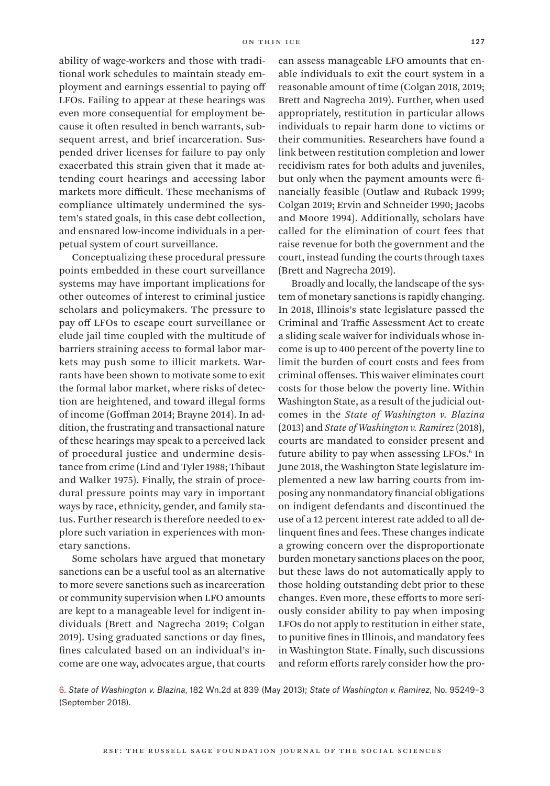ability of wage-workers and those with traditional work schedules to maintain steady employment and earnings essential to paying off LFOs. Failing to appear at these hearings was even more consequential for employment because it often resulted in bench warrants, subsequent arrest, and brief incarceration. Suspended driver licenses for failure to pay only exacerbated this strain given that it made attending court hearings and accessing labor markets more difficult. These mechanisms of compliance ultimately undermined the system's stated goals, in this case debt collection, and ensnared low-income individuals in a perpetual system of court surveillance.

Conceptualizing these procedural pressure points embedded in these court surveillance systems may have important implications for other outcomes of interest to criminal justice scholars and policymakers. The pressure to pay off LFOs to escape court surveillance or elude jail time coupled with the multitude of barriers straining access to formal labor markets may push some to illicit markets. Warrants have been shown to motivate some to exit the formal labor market, where risks of detection are heightened, and toward illegal forms of income (Goffman 2014; Brayne 2014). In addition, the frustrating and transactional nature of these hearings may speak to a perceived lack of procedural justice and undermine desistance from crime (Lind and Tyler 1988; Thibaut and Walker 1975). Finally, the strain of procedural pressure points may vary in important ways by race, ethnicity, gender, and family status. Further research is therefore needed to explore such variation in experiences with monetary sanctions.

Some scholars have argued that monetary sanctions can be a useful tool as an alternative to more severe sanctions such as incarceration or community supervision when LFO amounts are kept to a manageable level for indigent individuals (Brett and Nagrecha 2019; Colgan 2019). Using graduated sanctions or day fines, fines calculated based on an individual's income are one way, advocates argue, that courts

can assess manageable LFO amounts that enable individuals to exit the court system in a reasonable amount of time (Colgan 2018, 2019; Brett and Nagrecha 2019). Further, when used appropriately, restitution in particular allows individuals to repair harm done to victims or their communities. Researchers have found a link between restitution completion and lower recidivism rates for both adults and juveniles, but only when the payment amounts were financially feasible (Outlaw and Ruback 1999; Colgan 2019; Ervin and Schneider 1990; Jacobs and Moore 1994). Additionally, scholars have called for the elimination of court fees that raise revenue for both the government and the court, instead funding the courts through taxes (Brett and Nagrecha 2019).

Broadly and locally, the landscape of the system of monetary sanctions is rapidly changing. In 2018, Illinois's state legislature passed the Criminal and Traffic Assessment Act to create a sliding scale waiver for individuals whose income is up to 400 percent of the poverty line to limit the burden of court costs and fees from criminal offenses. This waiver eliminates court costs for those below the poverty line. Within Washington State, as a result of the judicial outcomes in the *State of Washington v. Blazina* (2013) and *State of Washington v. Ramirez* (2018), courts are mandated to consider present and future ability to pay when assessing LFOs.6 In June 2018, the Washington State legislature implemented a new law barring courts from imposing any nonmandatory financial obligations on indigent defendants and discontinued the use of a 12 percent interest rate added to all delinquent fines and fees. These changes indicate a growing concern over the disproportionate burden monetary sanctions places on the poor, but these laws do not automatically apply to those holding outstanding debt prior to these changes. Even more, these efforts to more seriously consider ability to pay when imposing LFOs do not apply to restitution in either state, to punitive fines in Illinois, and mandatory fees in Washington State. Finally, such discussions and reform efforts rarely consider how the pro-

6. *State of Washington v. Blazina*, 182 Wn.2d at 839 (May 2013); *State of Washington v. Ramirez*, No. 95249–3 (September 2018).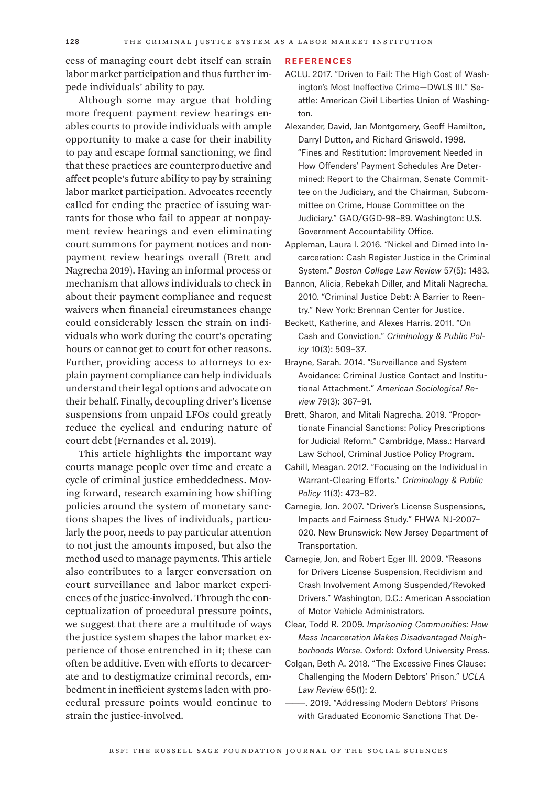cess of managing court debt itself can strain labor market participation and thus further impede individuals' ability to pay.

Although some may argue that holding more frequent payment review hearings enables courts to provide individuals with ample opportunity to make a case for their inability to pay and escape formal sanctioning, we find that these practices are counterproductive and affect people's future ability to pay by straining labor market participation. Advocates recently called for ending the practice of issuing warrants for those who fail to appear at nonpayment review hearings and even eliminating court summons for payment notices and nonpayment review hearings overall (Brett and Nagrecha 2019). Having an informal process or mechanism that allows individuals to check in about their payment compliance and request waivers when financial circumstances change could considerably lessen the strain on individuals who work during the court's operating hours or cannot get to court for other reasons. Further, providing access to attorneys to explain payment compliance can help individuals understand their legal options and advocate on their behalf. Finally, decoupling driver's license suspensions from unpaid LFOs could greatly reduce the cyclical and enduring nature of court debt (Fernandes et al. 2019).

This article highlights the important way courts manage people over time and create a cycle of criminal justice embeddedness. Moving forward, research examining how shifting policies around the system of monetary sanctions shapes the lives of individuals, particularly the poor, needs to pay particular attention to not just the amounts imposed, but also the method used to manage payments. This article also contributes to a larger conversation on court surveillance and labor market experiences of the justice-involved. Through the conceptualization of procedural pressure points, we suggest that there are a multitude of ways the justice system shapes the labor market experience of those entrenched in it; these can often be additive. Even with efforts to decarcerate and to destigmatize criminal records, embedment in inefficient systems laden with procedural pressure points would continue to strain the justice-involved.

#### References

- ACLU. 2017. "Driven to Fail: The High Cost of Washington's Most Ineffective Crime—DWLS III." Seattle: American Civil Liberties Union of Washington.
- Alexander, David, Jan Montgomery, Geoff Hamilton, Darryl Dutton, and Richard Griswold. 1998. "Fines and Restitution: Improvement Needed in How Offenders' Payment Schedules Are Determined: Report to the Chairman, Senate Committee on the Judiciary, and the Chairman, Subcommittee on Crime, House Committee on the Judiciary." GAO/GGD-98–89. Washington: U.S. Government Accountability Office.
- Appleman, Laura I. 2016. "Nickel and Dimed into Incarceration: Cash Register Justice in the Criminal System." *Boston College Law Review* 57(5): 1483.
- Bannon, Alicia, Rebekah Diller, and Mitali Nagrecha. 2010. "Criminal Justice Debt: A Barrier to Reentry." New York: Brennan Center for Justice.
- Beckett, Katherine, and Alexes Harris. 2011. "On Cash and Conviction." *Criminology & Public Policy* 10(3): 509–37.
- Brayne, Sarah. 2014. "Surveillance and System Avoidance: Criminal Justice Contact and Institutional Attachment." *American Sociological Review* 79(3): 367–91.
- Brett, Sharon, and Mitali Nagrecha. 2019. "Proportionate Financial Sanctions: Policy Prescriptions for Judicial Reform." Cambridge, Mass.: Harvard Law School, Criminal Justice Policy Program.
- Cahill, Meagan. 2012. "Focusing on the Individual in Warrant-Clearing Efforts." *Criminology & Public Policy* 11(3): 473–82.
- Carnegie, Jon. 2007. "Driver's License Suspensions, Impacts and Fairness Study." FHWA NJ-2007– 020. New Brunswick: New Jersey Department of Transportation.
- Carnegie, Jon, and Robert Eger III. 2009. "Reasons for Drivers License Suspension, Recidivism and Crash Involvement Among Suspended/Revoked Drivers." Washington, D.C.: American Association of Motor Vehicle Administrators.
- Clear, Todd R. 2009. *Imprisoning Communities: How Mass Incarceration Makes Disadvantaged Neighborhoods Worse*. Oxford: Oxford University Press.
- Colgan, Beth A. 2018. "The Excessive Fines Clause: Challenging the Modern Debtors' Prison." *UCLA Law Review* 65(1): 2.
	- ———. 2019. "Addressing Modern Debtors' Prisons with Graduated Economic Sanctions That De-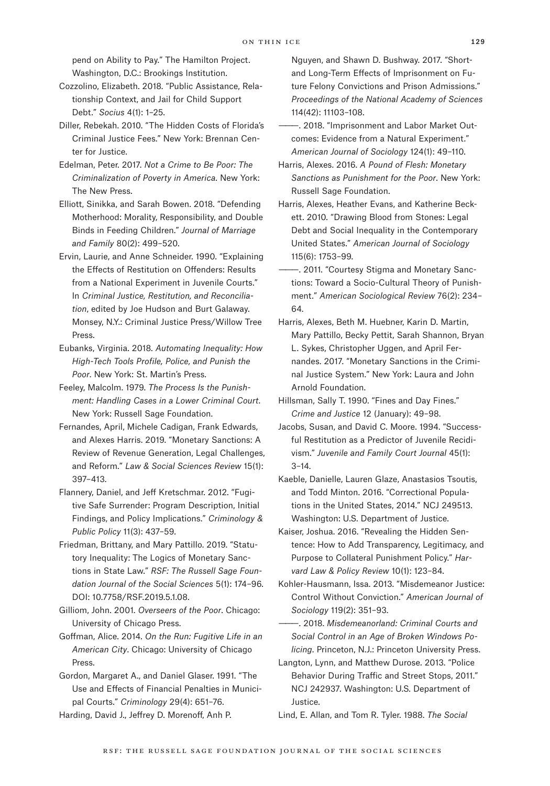pend on Ability to Pay." The Hamilton Project. Washington, D.C.: Brookings Institution.

Cozzolino, Elizabeth. 2018. "Public Assistance, Relationship Context, and Jail for Child Support Debt." *Socius* 4(1): 1–25.

Diller, Rebekah. 2010. "The Hidden Costs of Florida's Criminal Justice Fees." New York: Brennan Center for Justice.

Edelman, Peter. 2017. *Not a Crime to Be Poor: The Criminalization of Poverty in America*. New York: The New Press.

Elliott, Sinikka, and Sarah Bowen. 2018. "Defending Motherhood: Morality, Responsibility, and Double Binds in Feeding Children." *Journal of Marriage and Family* 80(2): 499–520.

Ervin, Laurie, and Anne Schneider. 1990. "Explaining the Effects of Restitution on Offenders: Results from a National Experiment in Juvenile Courts." In *Criminal Justice, Restitution, and Reconciliation*, edited by Joe Hudson and Burt Galaway. Monsey, N.Y.: Criminal Justice Press/Willow Tree Press.

Eubanks, Virginia. 2018. *Automating Inequality: How High-Tech Tools Profile, Police, and Punish the Poor*. New York: St. Martin's Press.

Feeley, Malcolm. 1979. *The Process Is the Punishment: Handling Cases in a Lower Criminal Court*. New York: Russell Sage Foundation.

Fernandes, April, Michele Cadigan, Frank Edwards, and Alexes Harris. 2019. "Monetary Sanctions: A Review of Revenue Generation, Legal Challenges, and Reform." *Law & Social Sciences Review* 15(1): 397–413.

Flannery, Daniel, and Jeff Kretschmar. 2012. "Fugitive Safe Surrender: Program Description, Initial Findings, and Policy Implications." *Criminology & Public Policy* 11(3): 437–59.

Friedman, Brittany, and Mary Pattillo. 2019. "Statutory Inequality: The Logics of Monetary Sanctions in State Law." *RSF: The Russell Sage Foundation Journal of the Social Sciences* 5(1): 174–96. DOI: 10.7758/RSF.2019.5.1.08.

Gilliom, John. 2001. *Overseers of the Poor*. Chicago: University of Chicago Press.

Goffman, Alice. 2014. *On the Run: Fugitive Life in an American City*. Chicago: University of Chicago Press.

Gordon, Margaret A., and Daniel Glaser. 1991. "The Use and Effects of Financial Penalties in Municipal Courts." *Criminology* 29(4): 651–76.

Harding, David J., Jeffrey D. Morenoff, Anh P.

Nguyen, and Shawn D. Bushway. 2017. "Shortand Long-Term Effects of Imprisonment on Future Felony Convictions and Prison Admissions." *Proceedings of the National Academy of Sciences* 114(42): 11103–108.

———. 2018. "Imprisonment and Labor Market Outcomes: Evidence from a Natural Experiment." *American Journal of Sociology* 124(1): 49–110.

Harris, Alexes. 2016. *A Pound of Flesh: Monetary Sanctions as Punishment for the Poor*. New York: Russell Sage Foundation.

Harris, Alexes, Heather Evans, and Katherine Beckett. 2010. "Drawing Blood from Stones: Legal Debt and Social Inequality in the Contemporary United States." *American Journal of Sociology* 115(6): 1753–99.

———. 2011. "Courtesy Stigma and Monetary Sanctions: Toward a Socio-Cultural Theory of Punishment." *American Sociological Review* 76(2): 234– 64.

Harris, Alexes, Beth M. Huebner, Karin D. Martin, Mary Pattillo, Becky Pettit, Sarah Shannon, Bryan L. Sykes, Christopher Uggen, and April Fernandes. 2017. "Monetary Sanctions in the Criminal Justice System." New York: Laura and John Arnold Foundation.

Hillsman, Sally T. 1990. "Fines and Day Fines." *Crime and Justice* 12 (January): 49–98.

Jacobs, Susan, and David C. Moore. 1994. "Successful Restitution as a Predictor of Juvenile Recidivism." *Juvenile and Family Court Journal* 45(1): 3–14.

Kaeble, Danielle, Lauren Glaze, Anastasios Tsoutis, and Todd Minton. 2016. "Correctional Populations in the United States, 2014." NCJ 249513. Washington: U.S. Department of Justice.

Kaiser, Joshua. 2016. "Revealing the Hidden Sentence: How to Add Transparency, Legitimacy, and Purpose to Collateral Punishment Policy." *Harvard Law & Policy Review* 10(1): 123–84.

Kohler-Hausmann, Issa. 2013. "Misdemeanor Justice: Control Without Conviction." *American Journal of Sociology* 119(2): 351–93.

———. 2018. *Misdemeanorland: Criminal Courts and Social Control in an Age of Broken Windows Policing*. Princeton, N.J.: Princeton University Press.

Langton, Lynn, and Matthew Durose. 2013. "Police Behavior During Traffic and Street Stops, 2011." NCJ 242937. Washington: U.S. Department of Justice.

Lind, E. Allan, and Tom R. Tyler. 1988. *The Social*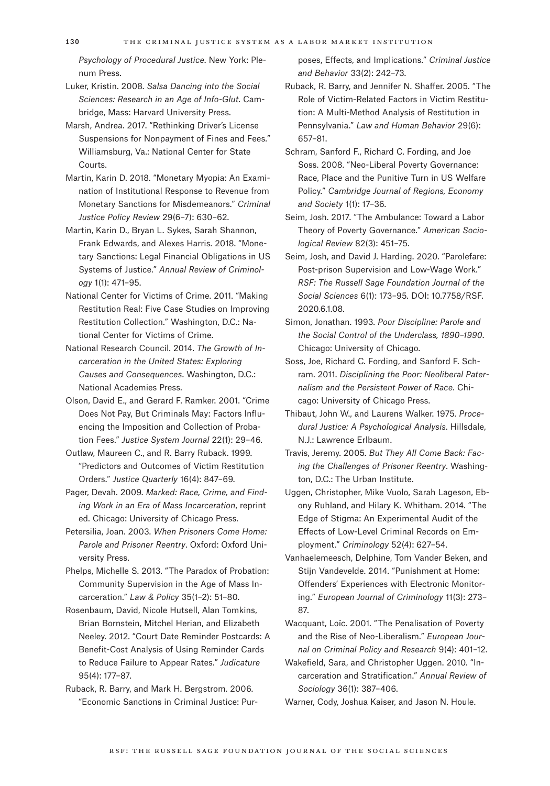*Psychology of Procedural Justice*. New York: Plenum Press.

Luker, Kristin. 2008. *Salsa Dancing into the Social Sciences: Research in an Age of Info-Glut*. Cambridge, Mass: Harvard University Press.

Marsh, Andrea. 2017. "Rethinking Driver's License Suspensions for Nonpayment of Fines and Fees." Williamsburg, Va.: National Center for State Courts.

Martin, Karin D. 2018. "Monetary Myopia: An Examination of Institutional Response to Revenue from Monetary Sanctions for Misdemeanors." *Criminal Justice Policy Review* 29(6–7): 630–62.

Martin, Karin D., Bryan L. Sykes, Sarah Shannon, Frank Edwards, and Alexes Harris. 2018. "Monetary Sanctions: Legal Financial Obligations in US Systems of Justice." *Annual Review of Criminology* 1(1): 471–95.

National Center for Victims of Crime. 2011. "Making Restitution Real: Five Case Studies on Improving Restitution Collection." Washington, D.C.: National Center for Victims of Crime.

National Research Council. 2014. *The Growth of Incarceration in the United States: Exploring Causes and Consequences*. Washington, D.C.: National Academies Press.

Olson, David E., and Gerard F. Ramker. 2001. "Crime Does Not Pay, But Criminals May: Factors Influencing the Imposition and Collection of Probation Fees." *Justice System Journal* 22(1): 29–46.

Outlaw, Maureen C., and R. Barry Ruback. 1999. "Predictors and Outcomes of Victim Restitution Orders." *Justice Quarterly* 16(4): 847–69.

Pager, Devah. 2009. *Marked: Race, Crime, and Finding Work in an Era of Mass Incarceration*, reprint ed. Chicago: University of Chicago Press.

Petersilia, Joan. 2003. *When Prisoners Come Home: Parole and Prisoner Reentry*. Oxford: Oxford University Press.

Phelps, Michelle S. 2013. "The Paradox of Probation: Community Supervision in the Age of Mass Incarceration." *Law & Policy* 35(1–2): 51–80.

Rosenbaum, David, Nicole Hutsell, Alan Tomkins, Brian Bornstein, Mitchel Herian, and Elizabeth Neeley. 2012. "Court Date Reminder Postcards: A Benefit-Cost Analysis of Using Reminder Cards to Reduce Failure to Appear Rates." *Judicature* 95(4): 177–87.

Ruback, R. Barry, and Mark H. Bergstrom. 2006. "Economic Sanctions in Criminal Justice: Purposes, Effects, and Implications." *Criminal Justice and Behavior* 33(2): 242–73.

Ruback, R. Barry, and Jennifer N. Shaffer. 2005. "The Role of Victim-Related Factors in Victim Restitution: A Multi-Method Analysis of Restitution in Pennsylvania." *Law and Human Behavior* 29(6): 657–81.

Schram, Sanford F., Richard C. Fording, and Joe Soss. 2008. "Neo-Liberal Poverty Governance: Race, Place and the Punitive Turn in US Welfare Policy." *Cambridge Journal of Regions, Economy and Society* 1(1): 17–36.

Seim, Josh. 2017. "The Ambulance: Toward a Labor Theory of Poverty Governance." *American Sociological Review* 82(3): 451–75.

Seim, Josh, and David J. Harding. 2020. "Parolefare: Post-prison Supervision and Low-Wage Work." *RSF: The Russell Sage Foundation Journal of the Social Sciences* 6(1): 173–95. DOI: 10.7758/RSF. 2020.6.1.08.

Simon, Jonathan. 1993. *Poor Discipline: Parole and the Social Control of the Underclass, 1890–1990*. Chicago: University of Chicago.

Soss, Joe, Richard C. Fording, and Sanford F. Schram. 2011. *Disciplining the Poor: Neoliberal Paternalism and the Persistent Power of Race*. Chicago: University of Chicago Press.

Thibaut, John W., and Laurens Walker. 1975. *Procedural Justice: A Psychological Analysis*. Hillsdale, N.J.: Lawrence Erlbaum.

Travis, Jeremy. 2005. *But They All Come Back: Facing the Challenges of Prisoner Reentry*. Washington, D.C.: The Urban Institute.

Uggen, Christopher, Mike Vuolo, Sarah Lageson, Ebony Ruhland, and Hilary K. Whitham. 2014. "The Edge of Stigma: An Experimental Audit of the Effects of Low-Level Criminal Records on Employment." *Criminology* 52(4): 627–54.

Vanhaelemeesch, Delphine, Tom Vander Beken, and Stijn Vandevelde. 2014. "Punishment at Home: Offenders' Experiences with Electronic Monitoring." *European Journal of Criminology* 11(3): 273– 87.

Wacquant, Loïc. 2001. "The Penalisation of Poverty and the Rise of Neo-Liberalism." *European Journal on Criminal Policy and Research* 9(4): 401–12.

Wakefield, Sara, and Christopher Uggen. 2010. "Incarceration and Stratification." *Annual Review of Sociology* 36(1): 387–406.

Warner, Cody, Joshua Kaiser, and Jason N. Houle.